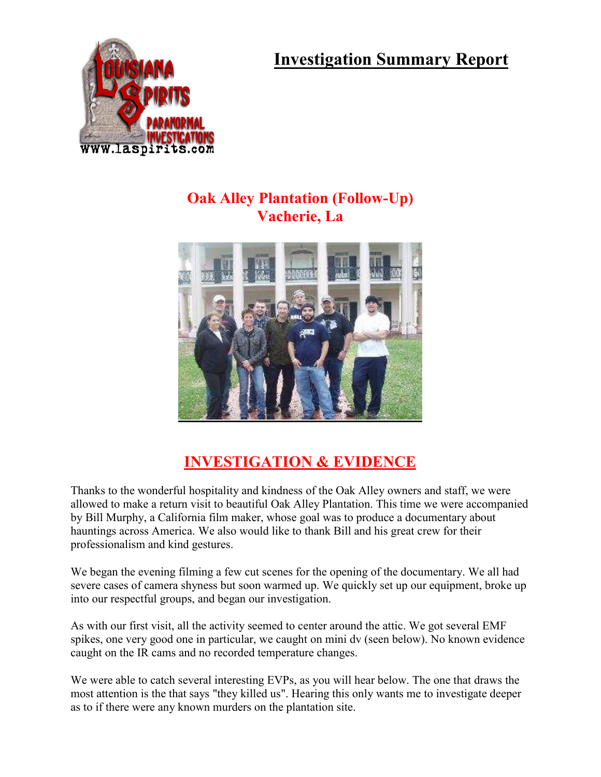**Investigation Summary Report** 



## **Oak Alley Plantation (Follow-Up) Vacherie, La**



## **INVESTIGATION & EVIDENCE**

Thanks to the wonderful hospitality and kindness of the Oak Alley owners and staff, we were allowed to make a return visit to beautiful Oak Alley Plantation. This time we were accompanied by Bill Murphy, a California film maker, whose goal was to produce a documentary about hauntings across America. We also would like to thank Bill and his great crew for their professionalism and kind gestures.

We began the evening filming a few cut scenes for the opening of the documentary. We all had severe cases of camera shyness but soon warmed up. We quickly set up our equipment, broke up into our respectful groups, and began our investigation.

As with our first visit, all the activity seemed to center around the attic. We got several EMF spikes, one very good one in particular, we caught on mini dv (seen below). No known evidence caught on the IR cams and no recorded temperature changes.

We were able to catch several interesting EVPs, as you will hear below. The one that draws the most attention is the that says "they killed us". Hearing this only wants me to investigate deeper as to if there were any known murders on the plantation site.